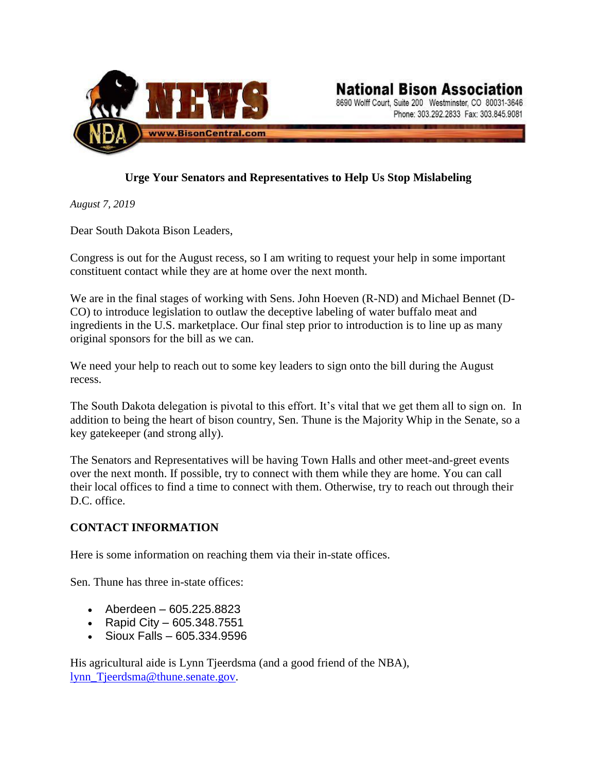

## **Urge Your Senators and Representatives to Help Us Stop Mislabeling**

*August 7, 2019*

Dear South Dakota Bison Leaders,

Congress is out for the August recess, so I am writing to request your help in some important constituent contact while they are at home over the next month.

We are in the final stages of working with Sens. John Hoeven (R-ND) and Michael Bennet (D-CO) to introduce legislation to outlaw the deceptive labeling of water buffalo meat and ingredients in the U.S. marketplace. Our final step prior to introduction is to line up as many original sponsors for the bill as we can.

We need your help to reach out to some key leaders to sign onto the bill during the August recess.

The South Dakota delegation is pivotal to this effort. It's vital that we get them all to sign on. In addition to being the heart of bison country, Sen. Thune is the Majority Whip in the Senate, so a key gatekeeper (and strong ally).

The Senators and Representatives will be having Town Halls and other meet-and-greet events over the next month. If possible, try to connect with them while they are home. You can call their local offices to find a time to connect with them. Otherwise, try to reach out through their D.C. office.

## **CONTACT INFORMATION**

Here is some information on reaching them via their in-state offices.

Sen. Thune has three in-state offices:

- Aberdeen 605.225.8823
- Rapid City 605.348.7551
- Sioux Falls 605.334.9596

His agricultural aide is Lynn Tjeerdsma (and a good friend of the NBA), [lynn\\_Tjeerdsma@thune.senate.gov.](mailto:lynn_Tjeerdsma@thune.senate.gov)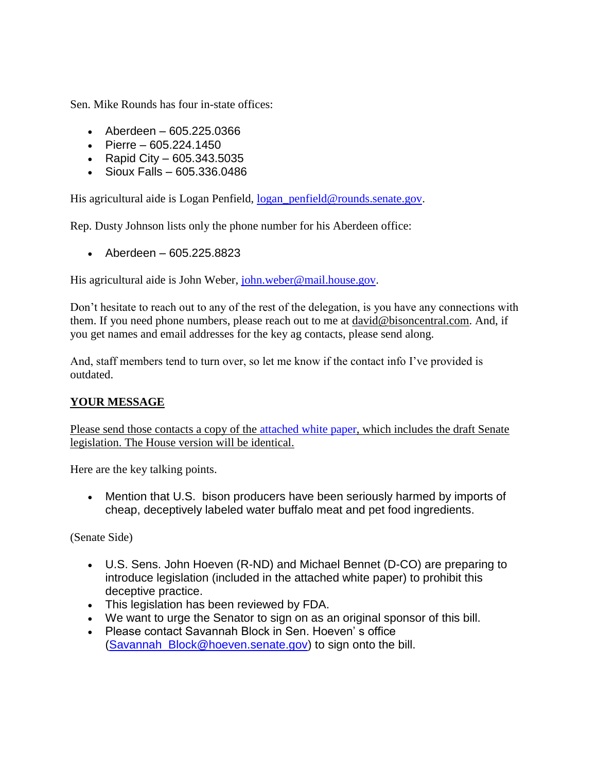Sen. Mike Rounds has four in-state offices:

- Aberdeen 605.225.0366
- Pierre 605.224.1450
- Rapid City 605.343.5035
- Sioux Falls 605.336.0486

His agricultural aide is Logan Penfield, logan penfield@rounds.senate.gov.

Rep. Dusty Johnson lists only the phone number for his Aberdeen office:

• Aberdeen – 605.225.8823

His agricultural aide is John Weber, [john.weber@mail.house.gov.](mailto:john.weber@mail.house.gov)

Don't hesitate to reach out to any of the rest of the delegation, is you have any connections with them. If you need phone numbers, please reach out to me at [david@bisoncentral.com.](mailto:david@bisoncentral.com) And, if you get names and email addresses for the key ag contacts, please send along.

And, staff members tend to turn over, so let me know if the contact info I've provided is outdated.

## **YOUR MESSAGE**

Please send those contacts a copy of the [attached white paper,](https://www.dakotabuffalo.com/wp-content/uploads/2019/08/White-Paper-Water-Buffalo-in-the-U.S.-Marketplace.pdf) which includes the draft Senate legislation. The House version will be identical.

Here are the key talking points.

• Mention that U.S. bison producers have been seriously harmed by imports of cheap, deceptively labeled water buffalo meat and pet food ingredients.

(Senate Side)

- U.S. Sens. John Hoeven (R-ND) and Michael Bennet (D-CO) are preparing to introduce legislation (included in the attached white paper) to prohibit this deceptive practice.
- This legislation has been reviewed by FDA.
- We want to urge the Senator to sign on as an original sponsor of this bill.
- Please contact Savannah Block in Sen. Hoeven' s office [\(Savannah\\_Block@hoeven.senate.gov\)](mailto:Savannah_Block@hoeven.senate.gov) to sign onto the bill.